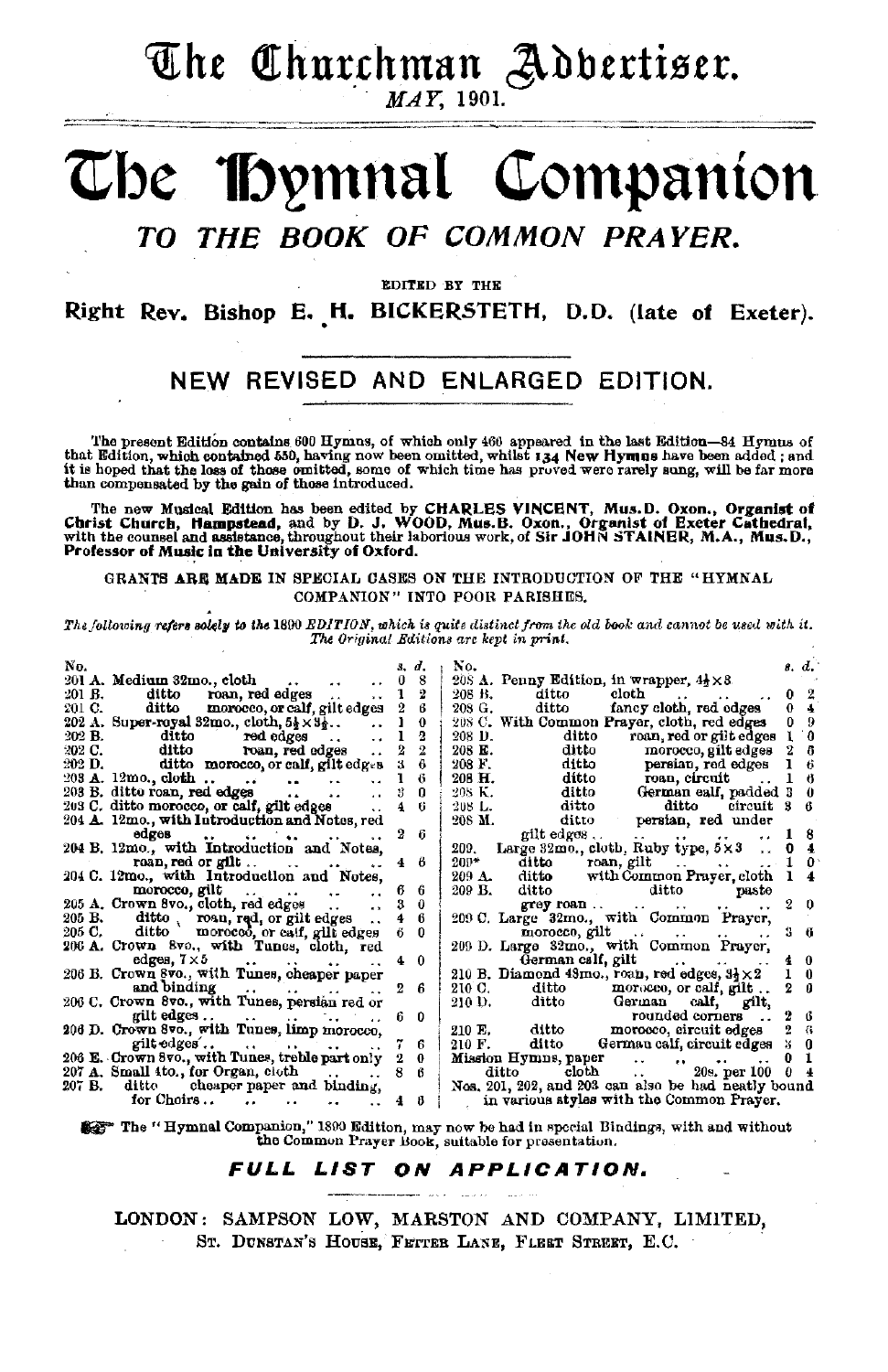## The Churchman Adbertiser.

#### MAY. 1901.

#### **IDymnal Companion** The THE BOOK OF COMMON PRAYER.  $\overline{TO}$

EDITED BY THE

Right Rev. Bishop E. H. BICKERSTETH, D.D. (late of Exeter).

#### NEW REVISED AND ENLARGED EDITION.

The present Edition contains 600 Hymns, of which only 466 appeared in the last Edition-84 Hymns of that Edition, which contained 550, having now been omitted, whilst  $134$  New Hymns have been added; and it is hoped that t

The new Musical Edition has been edited by CHARLES VINCENT, Mus.D. Oxon., Organist of Christ Church, Hampstead, and by D. J. WOOD, Mus.B. Oxon., Organist of Excter Cathedral, with the counsel and assistance, throughout the Professor of Music in the University of Oxford.

GRANTS ARE MADE IN SPECIAL CASES ON THE INTRODUCTION OF THE "HYMNAL COMPANION" INTO POOR PARISHES.

The following refers solely to the 1890 EDITION, which is quite distinct from the old book and cannot be used with it. The Original Editions are kept in print.

| No.    |                                                                                                                |                | ď.             | No.                                                                   | 8. d.          |          |
|--------|----------------------------------------------------------------------------------------------------------------|----------------|----------------|-----------------------------------------------------------------------|----------------|----------|
|        | 201 A. Medium 32mo., cloth<br>$\ddot{\phantom{a}}$<br>$\rightarrow$                                            | 0              | 8              | 208 A. Penny Edition, in wrapper, $4\frac{1}{2} \times 3$ .           |                |          |
|        | 201 B. ditto roan, red edges<br>v v                                                                            |                | 2              | ditto<br>cloth<br>208 B.<br>$\cdot$                                   |                |          |
| 201 C. | ditto morocco, or calf, gilt edges                                                                             | 2              | в              | 208 G. ditto<br>fancy cloth, red edges                                | 0.             |          |
|        | 202 A. Super-royal 32mo., cloth, $5\frac{1}{2} \times 3\frac{1}{2}$<br>$\ddot{\phantom{a}}$                    |                | 0              | 208 C. With Common Prayer, cloth, red edges                           | 09             |          |
|        | $\ddot{\phantom{a}}$                                                                                           |                | 2              | roan, red or gilt edges<br>ditto<br>208 D.                            |                | a        |
|        | 202 B. ditto red edges<br>202 C. ditto roan, red edges<br>$\ddot{\phantom{a}}$                                 | $\overline{2}$ | $\overline{2}$ | ditto<br>208 E.<br>morocco, gilt edges                                |                | В        |
|        | 202 D. ditto morocco, or calf, gilt edges                                                                      | я              |                | ditto persian, red edges<br>208 F.                                    |                | 6        |
|        | $203 \text{ A. } 12 \text{mo. } \text{cloth. } \dots$<br>$\mathbf{A}$ and $\mathbf{A}$<br>$\ddot{\phantom{a}}$ |                | 6              | ditto roan, circuit<br>206 H.                                         |                | 6        |
|        | 203 B. ditto roan, red edges<br>$\ddot{\phantom{a}}$<br>$\cdot$ .<br>$\ddot{\phantom{a}}$                      |                | 0              | ditto German ealf, padded 3<br>ditto ditto ditto circuit 3<br>208 K.  |                | -0       |
|        | 203 C. ditto morocco, or calf, gilt edges                                                                      |                |                | 208 L.                                                                |                | - 6      |
|        | 204 A. 12mo., with Introduction and Notes, red                                                                 |                |                | ditto persian, red under<br>208 M.                                    |                |          |
|        | edges<br>and the first control of                                                                              | 2              | 6              | gilt edges<br>the contract of the con-                                |                | 8        |
|        | 204 B. 12mo., with Introduction and Notes,                                                                     |                |                | 209. Large 32mo., cloth, Ruby type, $5 \times 3$                      |                | 4        |
|        | roan, red or gilt                                                                                              |                | 8              | $200*$<br>ditto roan, gilt                                            |                |          |
|        | 204 C. 12mo., with Introduction and Notes,                                                                     |                |                | 209 A. ditto with Common Prayer, cloth                                |                |          |
|        | morocco, gilt<br>and the second state of<br>$\cdot$ .<br>$\ddot{\phantom{a}}$                                  | 6              | 6              | 209 B. ditto ditto<br>paste                                           |                |          |
|        | 205 A. Crown 8vo., cloth, red edges<br>$\bullet$                                                               | з              | $\theta$       | $\alpha$ rey roan $\alpha$ . $\beta$ .<br>$\cdots$<br>$\cdot$ $\cdot$ | 20             |          |
|        | 205 B. ditto, roan, red, or gilt edges                                                                         |                | 6              | 209 C. Large 32mo., with Common Prayer,                               |                |          |
|        | 205 C. ditto morocco, or calf, gilt edges                                                                      |                | $\bf{0}$       | $m$ orocco, gilt $\ldots$ $\ldots$                                    | $3 - 6$        |          |
|        | 206 A. Crown 8vo., with Tunes, cloth, red                                                                      |                |                | 209 D. Large 32mo., with Common Prayer,                               |                |          |
|        | edges, $7 \times 5$                                                                                            | 4.             | $\theta$       | German cslf, gilt<br><b>The Community Community</b>                   | 40             |          |
|        | 206 B. Crown 8vo., with Tunes, cheaper paper                                                                   |                |                | 210 B. Diamond 48mo., roan, red edges, $3\frac{1}{2} \times 2$        |                | $\theta$ |
|        | and binding $\ldots$                                                                                           | 2              | ĥ              | 210 C. ditto morocco, or calf, gilt                                   | $2 \theta$     |          |
|        | 206 C. Crown 8vo., with Tunes, persian red or                                                                  |                |                | 210 D. ditto German calf, gilt,                                       |                |          |
|        |                                                                                                                | 6.             | n              | rounded corners                                                       | 2              | В        |
|        | 206 D. Crown 8vo., with Tunes, limp morocco.                                                                   |                |                | 210 E. ditto morocco, circuit edges                                   | 2              | $\alpha$ |
|        |                                                                                                                | 7              | 6              | 210 F. ditto German calf, circuit edges                               | 30             |          |
|        | 206 E. Crown 8vo., with Tunes, treble part only                                                                | 2              | $\theta$       | Mission Hymns, paper<br>$\therefore$ 20s. per 100                     | 0              |          |
|        | 207 A. Small 4to., for Organ, cloth                                                                            |                | ß              | ditto cloth                                                           | 0 <sub>4</sub> |          |
|        | 207 B. ditte cheaper paper and binding,                                                                        |                |                | Nos. 201, 202, and 203 can also be had neatly bound                   |                |          |
|        | for Choirs<br>$\ddot{\phantom{a}}$                                                                             | 4.             | В              | in various styles with the Common Prayer.                             |                |          |
|        |                                                                                                                |                |                |                                                                       |                |          |

\$35 The "Hymnal Companion," 1890 Edition, may now be had in special Bindings, with and without the Common Prayer Book, suitable for presentation.

#### FULL LIST ON APPLICATION.

LONDON: SAMPSON LOW, MARSTON AND COMPANY, LIMITED, ST. DUNSTAN'S HOUSE, FETTER LANE, FLEET STREET, E.C.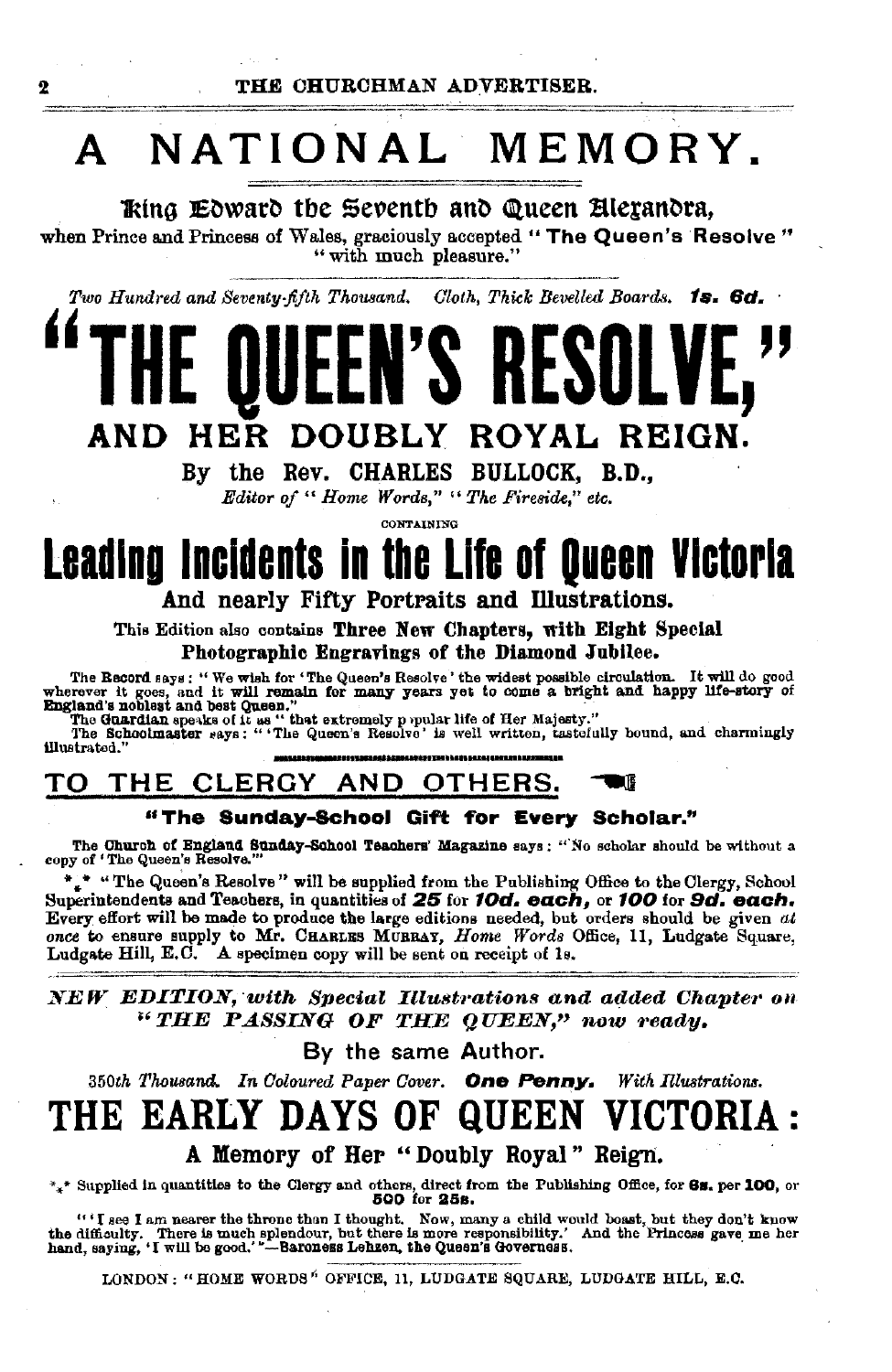### NATIONAL MEMORY. A

King Edward the Seventh and Queen Alexandra,

when Prince and Princess of Wales, graciously accepted "The Queen's Resolve" " with much pleasure."

Two Hundred and Seventy-fifth Thousand. Cloth, Thick Bevelled Boards. 1s. 6d.

### ROYAL REIGN. HER **DOUBLY** AND

By the Rev. CHARLES BULLOCK, B.D.,

Editor of "Home Words," "The Fireside," etc.

CONTAINING

# Leading Incidents in the Life of Queen Victoria

And nearly Fifty Portraits and Illustrations.

This Edition also contains Three New Chapters, with Eight Special Photographic Engravings of the Diamond Jubilee.

The Becord says: "We wish for "The Queen's Resolve 'the widest possible circulation. It will do good wherever it goes, and it will remain for many years yet to come a bright and happy life-story of England's noblest and be

illustrated.

#### CLERGY AND OTHERS. ΤO **THE** DB

#### "The Sunday-School Gift for Every Scholar."

The Church of England Sunday-School Teachers' Magazine says: "No scholar should be without a copy of 'The Queen's Resolve.'

\*.\* "The Queen's Resolve" will be supplied from the Publishing Office to the Clergy, School Superintendents and Teachers, in quantities of 25 for 10d. each, or 100 for 9d. each. Every effort will be made to produce the large editions needed, but orders should be given at once to ensure supply to Mr. CHARLES MURRAY, Home Words Office, 11, Ludgate Square. Ludgate Hill, E.C. A specimen copy will be sent on receipt of 1s.

NEW EDITION, with Special Illustrations and added Chapter on "THE PASSING OF THE QUEEN," now ready.

By the same Author.

350th Thousand. In Coloured Paper Cover. One Penny. With Illustrations.

#### `H E **EARLY DAYS OF QUEEN VICTOR**

A Memory of Her "Doubly Royal" Reign.

\*\*\* Supplied in quantities to the Clergy and others, direct from the Publishing Office, for 6s. per 100, or 500 for 25s.

"'I see I am nearer the throne than I thought. Now, many a child would boast, but they don't know the difficulty. There is much splendour, but there is more responsibility.' And the Princess gave me her hand, saying, 'I w

LONDON: "HOME WORDS" OFFICE, 11, LUDGATE SQUARE, LUDGATE HILL, E.C.

2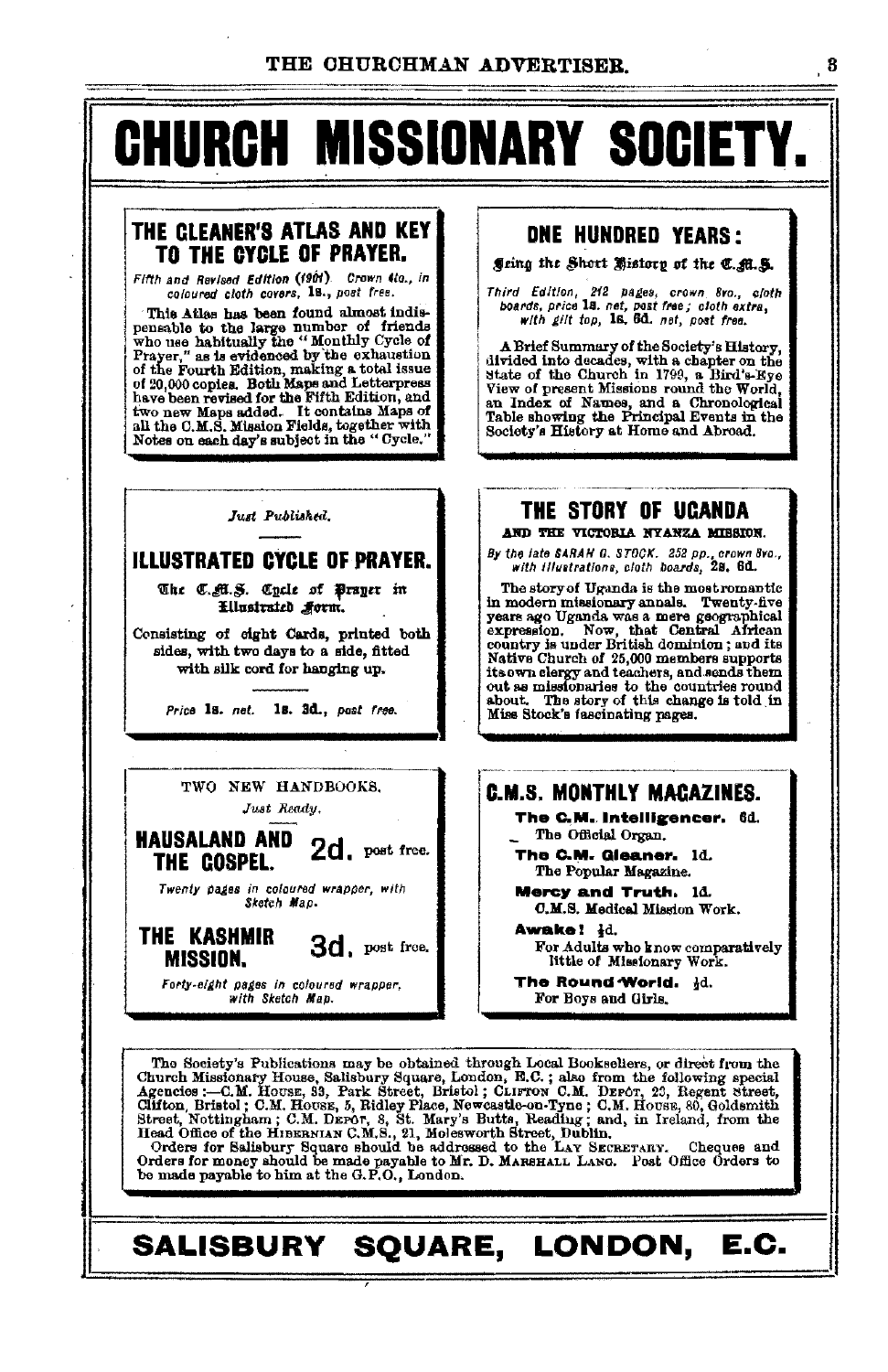# **CHURCH MISSIONARY SOCIETY.**

#### THE CLEANER'S ATLAS AND KEY TO THE CYCLE OF PRAYER.

Fifth and Revised Edition (1901). Crown 4to., in coloured cloth covers, 18., post fres.

This Atlas has been found almost indi-<br>pensable to the large number of friends who use habitually the "Monthly Cycle of<br>Prayer," as is evidenced by the exhaustion<br>of the Fourth Edition, making a total issue<br>of 20,000 copi or 20,000 copies. Bould make successful belief on the solution, and<br>two new Maps added. It contains Maps of<br>all the C.M.S. Mission Fields, together with Notes on each day's subject in the "Cycle."

#### Just Published.

#### **ILLUSTRATED CYCLE OF PRAYER.**

The C.M.S. Cycle of Prayer in Ellustrated Form.

Consisting of eight Cards, printed both sides, with two days to a side, fitted with silk cord for hanging up.

Price 1s. net. 1s. 3d., post free.

TWO NEW HANDBOOKS. Just Ready.

**HAUSALAND AND 2d.** post free.

THE COSPEL.

Twenty pages in coloured wrapper, with<br>Sketch Map.

THE KASHMIR 3d. post free. **MISSION.** 

Forty-eight pages in coloured wrapper. with Sketch Map.

#### **DNE HUNDRED YEARS:**

Jeing the Short History of the C. A.S.

Third Edition, 212 pages, crown 8vo., close boards, price 18. net, post free; cloth extra,<br>with gilt top, 18. 6d. net, post free. cloth

A Brief Summary of the Society's History, divided into decades, with a chapter on the State of the Church in 1799, a Bird's-Kye View of present Missions round the World, an Index of Names, and a Chronological<br>Table showing the Principal Events in the Society's History at Home and Abroad.

#### **THE STORY OF UCANDA** AND THE VICTORIA NYANZA MISSION.

By the late SARAH G. STOCK. 252 pp., crown 8vo.,<br>with illustrations, cloth boards, 28, 6d.

The story of Uganda is the most romantic in modern missionary annals. Twenty-five means ago Uganda was a mere geographical expression. Now, that Central African country is under British dominion; and its Evanty Je unical Dinastic members supports<br>its own clergy and teachers, and sends them<br>its own clergy and teachers, and sends them<br>out as missionaries to the countries round Miss Stock's fascinating pages.

#### **C.M.S. MONTHLY MACAZINES.**

The C.M. Intelligencer. 6d. The Official Organ.

The C.M. Gleaner. 1d. The Popular Magazine.

Mercy and Truth, 14.

C.M.S. Medical Mission Work. Awake! Id. For Adults who know comparatively

little of Missionary Work.

The Round World. Hd. For Boys and Girls.

The Society's Publications may be obtained through Local Bookseliers, or direct from the The society's Tublications may be obtained through Local Booksellers, or direct from the following special Republications and the Agencies :--O.M. House, Salisbury Square, London, E.C.; also from the following special Agen

#### SALISBURY SQUARE, LONDON, E.C.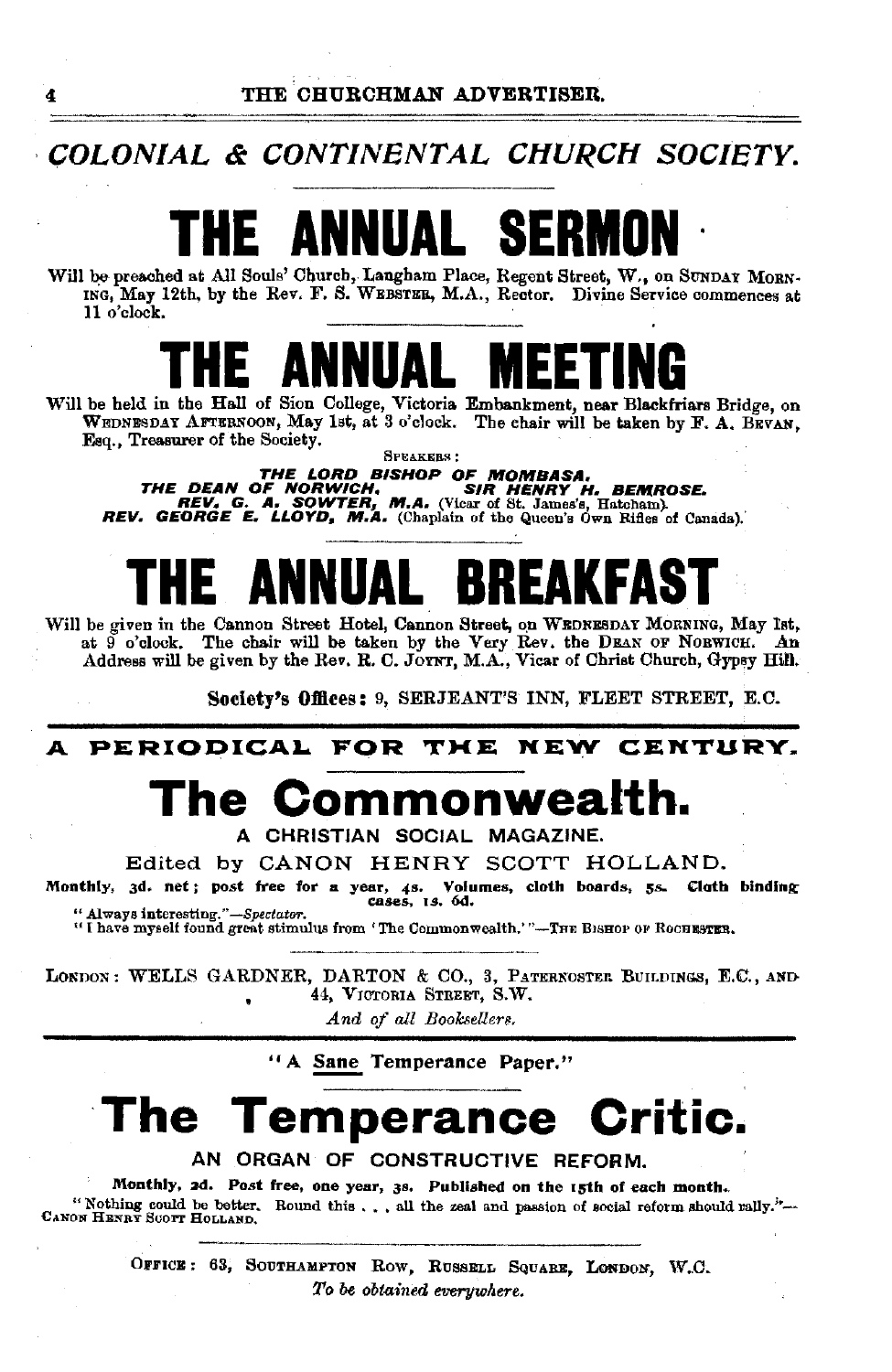### **COLONIAL & CONTINENTAL CHURCH SOCIETY.**

# **THE ANNUAL SE**

Will be preached at All Souls' Church, Langham Place, Regent Street, W., on SUNDAY MORN-<br>ING, May 12th, by the Rev. F. S. WEBSTER, M.A., Rector. Divine Service commences at 11 o'clock.

## **THE ANNUAL MEETING**

Will be held in the Hall of Sion College, Victoria Embankment, near Blackfriars Bridge, on WEDNESDAY AFTERNOON, May 1st, at 3 o'clock. The chair will be taken by F. A. BEVAN, Esq., Treasurer of the Society. SPEAKERS:

THE DEAN OF BISHOP OF MOMBASA,<br>The DEAN OF NORWICH, SIR HENRY H. BEMROSE.<br>REV. G. A. SOWTER, M.A. (Vicar of St. James's, Hatcham).<br>REV. GEORGE E. LLOYD, M.A. (Chaplain of the Queen's Own Rifles of Canada).

# E **Annual Brea**

Will be given in the Cannon Street Hotel, Cannon Street, on WEDNESDAY MORNING, May 1st, at  $\widetilde{9}$  o'clock. The chair will be taken by the Very Rev. the DEAN OF NORWICH. An Address will be given by the Rev. R. C. JOYNT, M.A., Vicar of Christ Church, Gypey Hill.

Society's Offices: 9, SERJEANT'S INN, FLEET STREET, E.C.

#### **A PERIODICAL FOR TKE NEW CENTURY.**

## **The Commonwealth.**

A CHRISTIAN SOCIAL MAGAZINE.

Edited by CANON HENRY SCOTT HOLLAND.

Monthly, 3d. net; post free for a year, 4s. Volumes, cloth boards, *ss.* Cloth binding " Always interesting."-Spectator.

"I have myself found great stimulus from 'The Commonwealth.'"-THE BISHOP OF ROCHESTER.

LONDON: WELLS GARDNER, DARTON & CO., 3, PATERNOSTER BUILDINGS, E.C., AND 44, VICTORIA STREET, S.W.  $\bullet$ 

And of all Booksellers.

"A Sane Temperance Paper."

## **The Temperance Critic.**

AN ORGAN OF CONSTRUCTIVE REFORM.

Monthly, 2d. Post free, one year, 3s. Published on the 15th of each month. " Nothing eould be better. Round this •• , all the zeal and passion of social reform should vally.'•- CANON HENRY Scol'T HoLLAND.

> OFFICE: 63, SOUTHAMPTON ROW, RUSSELL SQUARE, LONDON, W.C. *To* be *obtained everywhere.*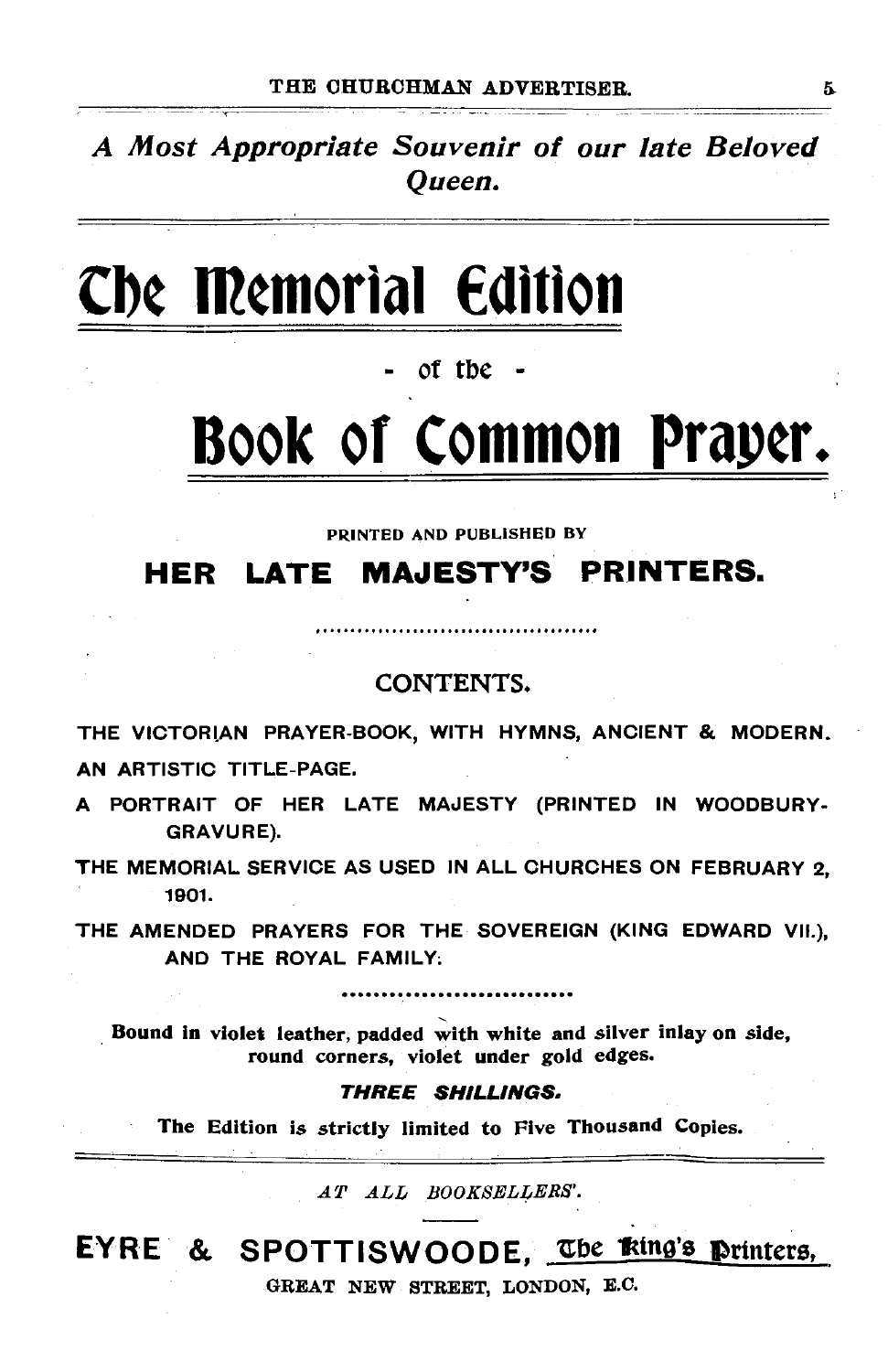A Most Appropriate Souvenir of our late Beloved Queen.

# **Cbe Memorial Edition**

of the

# **Book or common Prap¢r.**

. . . . . . . . . . . . . .

PRINTED AND PUBLISHED BY

### **HER LATE MAJESTY'S PRINTERS.**

#### CONTENTS.

THE VICTORIAN PRAYER-BOOK, WITH HYMNS, ANCIENT & MODERN. AN ARTISTIC TITLE-PAGE.

A PORTRAIT OF HER LATE MAJESTY (PRINTED IN WOODBURY-GRAVURE).

THE MEMORIAL SERVICE AS USED IN ALL CHURCHES ON FEBRUARY 2, 1901.

THE AMENDED PRAYERS FOR THE SOVEREIGN (KING EDWARD VII.}, AND THE ROYAL FAMILY;

Bound in violet leather, padded with white and silver inlay on side, round corners, violet under gold edges.

#### THREE SHILLINGS.

The Edition is strictly limited to Five Thousand Copies.

*AT ALL BOOKSELLERS'.* 

### EYRE & SPOTTISWOODE, The  $k$ ting's printers,

GREAT NEW STREET, LONDON, E.C.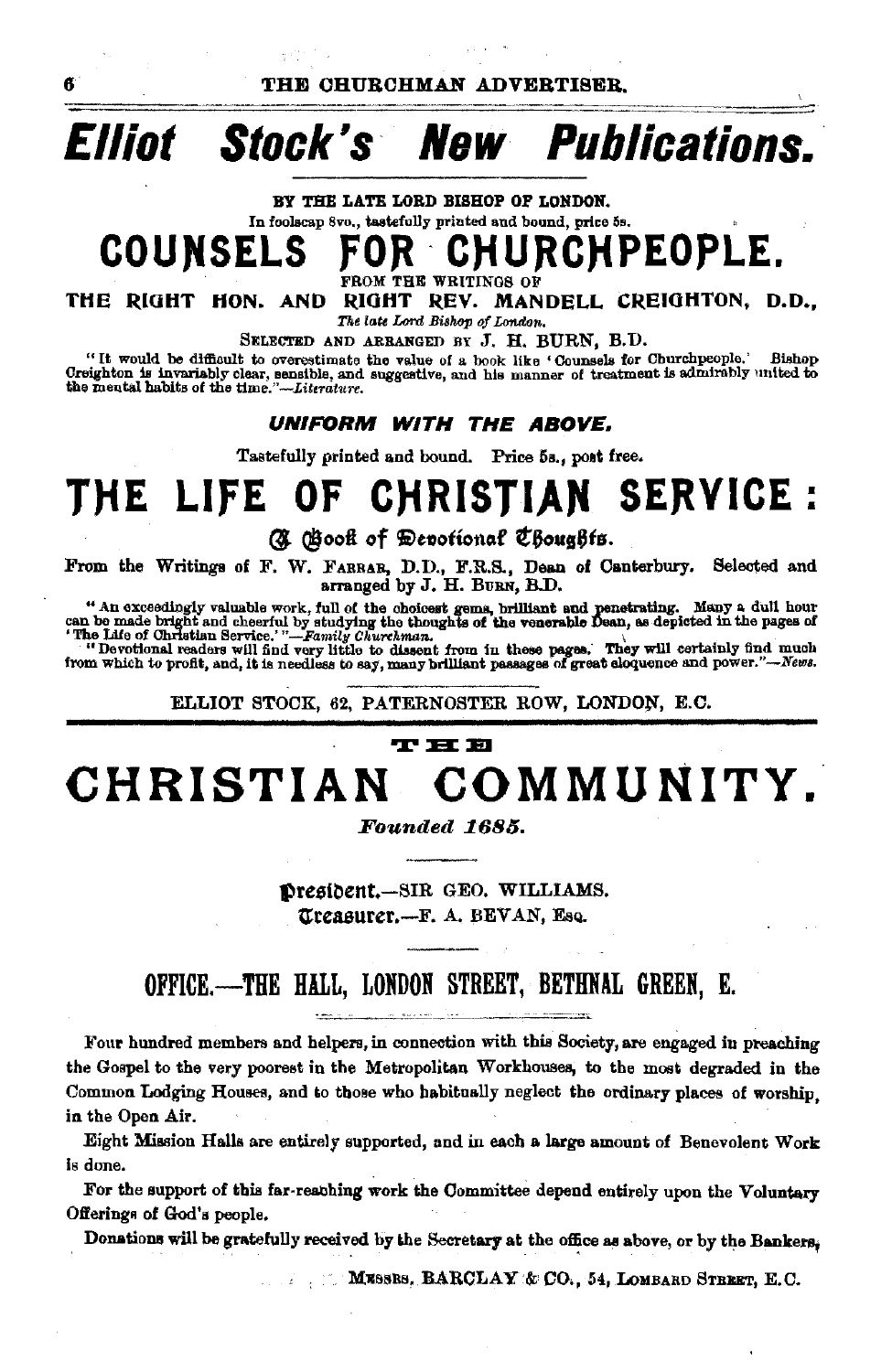THE CHURCHMAN ADVERTISER.

#### **Publications.** Ellint Stock's New

BY THE LATE LORD BISHOP OF LONDON. In foolscap 8vo., tastefully printed and bound, price 5s. COUNSEI

ĸ

**IPEOPLE.** 

THE RIGHT HON, AND RIGHT REV. MANDELL CREIGHTON, D.D., The late Lord Bishop of London.

SELECTED AND ARRANGED BY J. H. BURN, B.D.

THE WRITINGS OF

"It would be difficult to overestimate the value of a book like 'Counsels for Churchpeople.' **Bishop** Creighton is invariably clear, sensible, and suggestive, and his manner of treatment is admirably united to the mental habits of the time."-Literature.

UNIFORM WITH THE ABOVE.

Tastefully printed and bound. Price 5s., post free.

#### SERVICE : LIFE OF THE. **CHRISTIAN**

C Gook of Devotional Choughts.

From the Writings of F. W. FARRAB, D.D., F.R.S., Dean of Canterbury. Selected and arranged by J. H. BURN, B.D.

" An exceedingly valuable work, full of the choicest gems, brilliant and penetrating. Many a dull hour can be made bright and cheerful by studying the thoughts of the venerable Dean, as depicted in the pages of "De Life o

ELLIOT STOCK, 62. PATERNOSTER ROW, LONDON, E.C.

#### **T H B** COMMUNITY. CHRISTIAN

Founded 1685.

Dresident.-SIR GEO. WILLIAMS. Treasurer.-F. A. BEVAN, Esq.

### OFFICE.-THE HALL, LONDON STREET, BETHNAL GREEN, E.

Four hundred members and helpers, in connection with this Society, are engaged in preaching the Gospel to the very poorest in the Metropolitan Workhouses, to the most degraded in the Common Lodging Houses, and to those who habitually neglect the ordinary places of worship. in the Open Air.

Eight Mission Halls are entirely supported, and in each a large amount of Benevolent Work is done.

For the support of this far-reaching work the Committee depend entirely upon the Voluntary Offerings of God's people.

Donations will be gratefully received by the Secretary at the office as above, or by the Bankers.

MESSES, BARCLAY & CO. 54, LOMBARD STREET, E.C.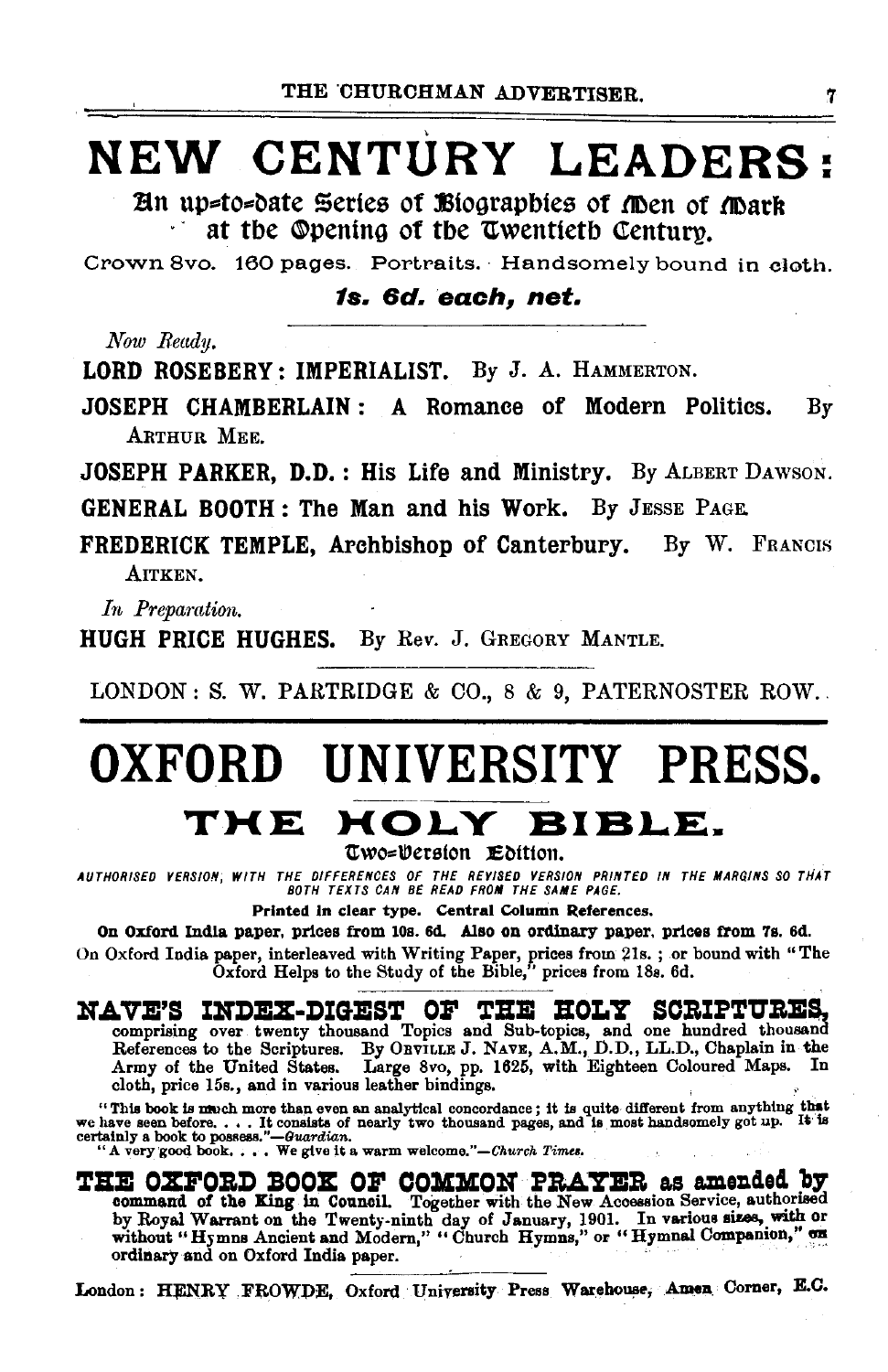## NEW CENTURY LEADERS:

An up=to=date Series of Biographies of Men of Mark at the Opening of the Twentieth Century.

Crown 8vo. 160 pages. Portraits. Handsomely bound in cloth.

1s. 6d. each. net.

Now Readu.

LORD ROSEBERY: IMPERIALIST. By J. A. HAMMERTON.

JOSEPH CHAMBERLAIN: A Romance of Modern Politics.  $\mathbf{B}\mathbf{v}$ ARTHUR MEE.

**JOSEPH PARKER, D.D.: His Life and Ministry.** By ALBERT DAWSON.

GENERAL BOOTH: The Man and his Work. By JESSE PAGE.

FREDERICK TEMPLE, Archbishop of Canterbury. By W. FRANCIS AITKEN.

In Preparation.

**HUGH PRICE HUGHES.** By Rev. J. GREGORY MANTLE.

LONDON: S. W. PARTRIDGE & CO.,  $8 \& 9$ , PATERNOSTER ROW.

## OXFORD UNIVERSITY PRESS. THE HOLY BIBLE.

Two=Persion Edition.

AUTHORISED VERSION, WITH THE DIFFERENCES OF THE REVISED VERSION PRINTED IN THE MARGINS SO THAT BOTH TEXTS CAN BE READ FROM THE SAME PAGE.

Printed in clear type. Central Column References.

On Oxford India paper, prices from 10s. 6d. Also on ordinary paper, prices from 7s. 6d. On Oxford India paper, interleaved with Writing Paper, prices from 21s.; or bound with "The Oxford Helps to the Study of the Bible," prices from 18s. 6d.

#### NAVE'S INDEX-DIGEST OF THE HOLY SCRIPTURES,

comprising over twenty thousand Topics and Sub-topics, and one hundred thousand References to the Scriptures. By ORVILLE J. NAVE, A.M., D.D., LL.D., Chaplain in the Army of the United States. Large 8vo, pp. 1625, with Eighteen Coloured Maps. In cloth, price 15s., and in various leather bindings.

"This book is much more than even an analytical concordance; it is quite different from anything that we have seen before. . . . It consists of nearly two thousand pages, and is most handsomely got up. It is certainly a b

THE OXFORD BOOK OF COMMON PRAYER as amended by command of the King in Council. Together with the New Accession Service, authorized by Royal Warrant on the Twenty-ninth day of January, 1901. In various sizes, with or without "Hymns Ancient and Modern," "Church Hymns," or "Hymnal Companion," on ordinary and on Oxford India paper.

London: HENRY FROWDE, Oxford University Press Warehouse, Amen Corner, E.C.

7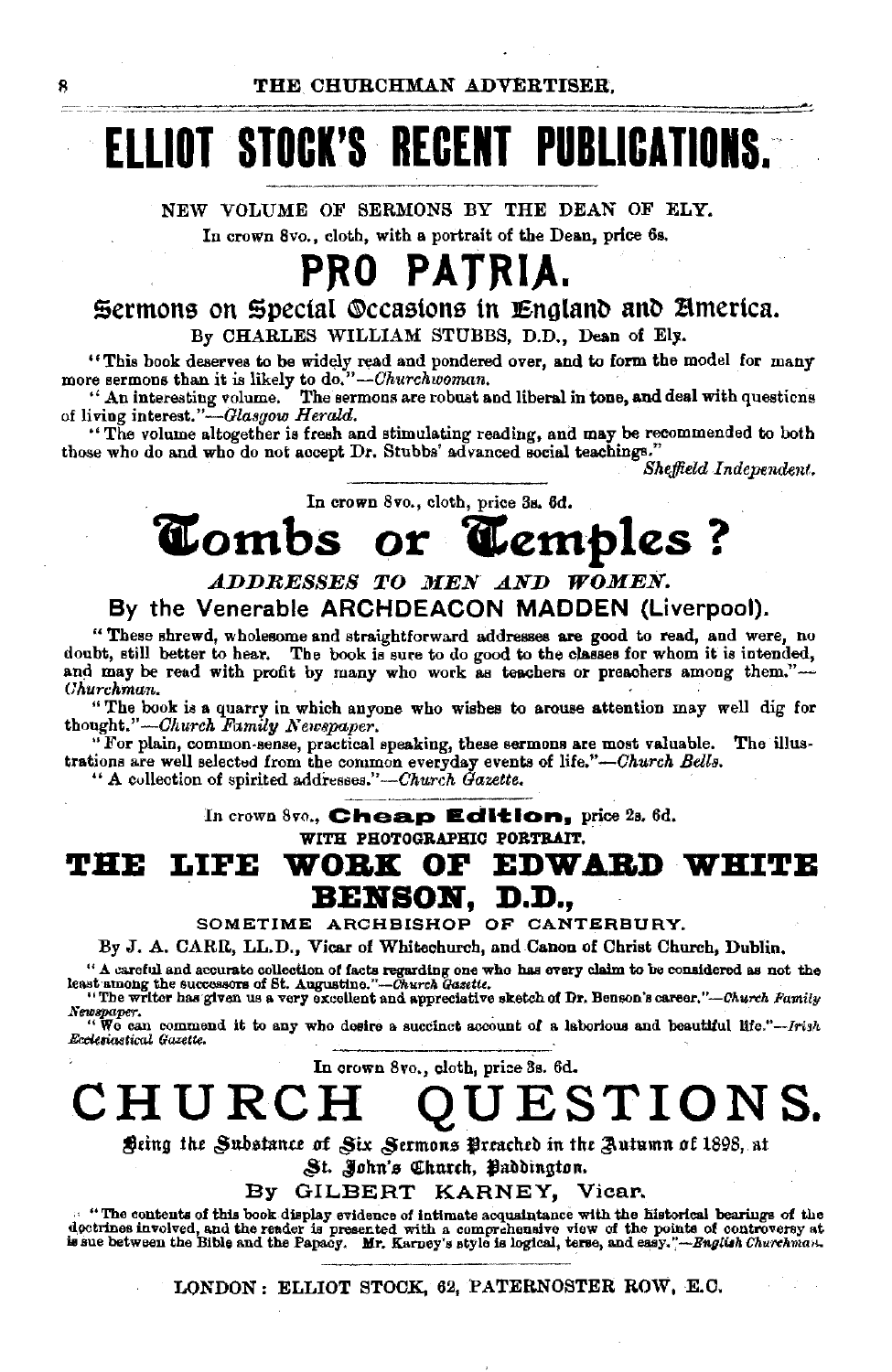THE CHITRCHMAN ADVERTISER.

# ELLIOT STOCK'S RECENT PUBLICATIONS.

NEW VOLUME OF SERMONS BY THE DEAN OF ELY. In crown 8vo., cloth, with a portrait of the Dean, price 6s.

## PRO PATRIA.

#### Sermons on Special Occasions in England and America. By CHARLES WILLIAM STUBBS, D.D., Dean of Ely.

"This book deserves to be widely read and pondered over, and to form the model for many more sermons than it is likely to do."-Churchwoman.<br>"An interesting volume. The sermons are robust and liberal in tone, and deal with questions

of living interest."-Glasgow Herald.

"The volume altogether is fresh and stimulating reading, and may be recommended to both those who do and who do not accept Dr. Stubbs' advanced social teachings.'

Sheffield Independent.

In crown 8vo., cloth, price 3s, 6d.

#### **Combs** or Cemples ?

#### ADDRESSES TO MEN AND WOMEN. By the Venerable ARCHDEACON MADDEN (Liverpool).

"These shrewd, wholesome and straightforward addresses are good to read, and were, no doubt, still better to hear. The book is sure to do good to the classes for whom it is intended, and may be read with profit by many who work as teachers or preachers among them."-Churchman.

"The book is a quarry in which anyone who wishes to arouse attention may well dig for thought."-Church Family Newspaper.

"For plain, common-sense, practical speaking, these sermons are most valuable. The illustrations are well selected from the common everyday events of life."-Church Bells.

" A collection of spirited addresses."-Church Gazette.

In crown 8vo., Cheap Edition, price 2s. 6d.

WITH PHOTOGRAPHIC PORTRAIT.

#### **EDWARD W** LIFE OF тне WORK BENSON. D.D..

SOMETIME ARCHBISHOP OF CANTERBURY.

By J. A. CARR, LL.D., Vicar of Whitechurch, and Canon of Christ Church, Dublin,

" A careful and accurate collection of facts regarding one who has every claim to be considered as not the least among the successors of St. Augustine."-Church Gasette. "The writer has given us a very excellent and appreciative sketch of Dr. Benson's career."-Church Family

Newspaper.<br>"We can commend it to any who desire a succinct account of a laborious and beautiful life."--Irish Ecclesiastical Gazette.

In crown 8vo., cloth, price 3s. 6d.

CHURCH ESTIONS.

Deing the Substance of Six Sermons Preached in the Autumn of 1898, at

St. John's Church, Baddington.

By GILBERT KARNEY, Vicar.

... "The contents of this book display evidence of intimate acquaintance with the historical bearings of the dectrines involved, and the reader is presented with a comprehensive view of the points of controversy at is sue

LONDON: ELLIOT STOCK, 62, PATERNOSTER ROW, E.C.

Я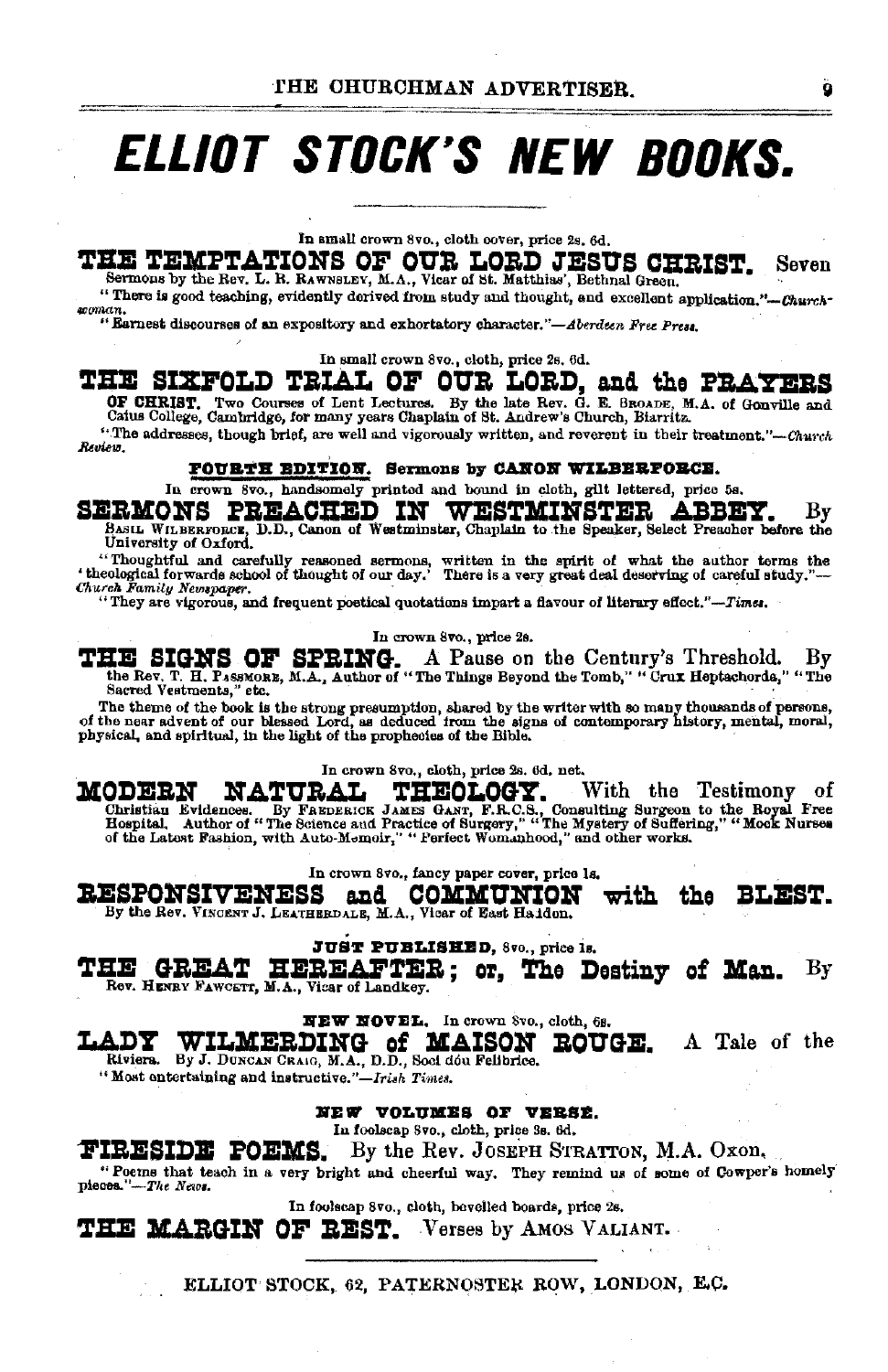## **ELLIOT STOCK'S NEW BOOKS.**

In small crown 8vo., cloth cover, price 2s. 6d.

#### THE TEMPTATIONS OF OUR LORD JESUS CHRIST. Seven Sermons by the Rev. L. R. RAWNSLEV, M.A., Vicar of St. Matthias', Bethnal Green.

"There is good teaching, evidently derived from study and thought, and excellent application."-Churchsoman

"Earnest discourses of an expository and exhortatory character."-Aberdeen Free Press.

In small crown 8vo., cloth, price 2s. 6d.

### THE SIXFOLD TRIAL OF OUR LORD. and the PRAYERS

OF CHRIST. Two Courses of Lent Lectures. By the late Rev. G. E. SROADE, M.A. of Gonville and Catus College, Cambridge, for many years Chaplain of St. Andrew's Church, Biarritz.

"The addresses, though brief, are well and vigorously written, and reverent in their treatment."-Church Review.

#### FOURTH EDITION. Sermons by CANON WILBERFORCE.

In crown 8vo., handsomely printed and bound in cloth, gllt lettered, price 5s.

SERMONS PREACHED IN WESTMINSTER ABBEY. By Basic With Experience, D.D., Canon of Westminster, Chaplain to the Speaker, Select Preacher before the

University of Oxford. "Thoughtful and carefully reasoned sermons, written in the spirit of what the author terms the 'theological forwards school of thought of our day.' There is a very great deal deserving of careful study."-Church Family Newspaper.

"They are vigorous, and frequent poetical quotations impart a flavour of literary effect."-Times.

In crown 8vo., price 2s.

THE SIGNS OF SPRING. A Pause on the Century's Threshold. By the Rev. T. H. Passmonz, M.A., Author of "The Things Beyond the Tomb," "Cruz Heptschords," "The Sacred Vestments," etc.

The theme of the book is the strong presumption, shared by the writer with so many thousands of persons, of the near advent of our blessed Lord, as deduced from the signs of contemporary history, mental, moral, physical, a

In crown 8vo., cloth, price 2s. 6d. net.

**MODERN NATURAL** THEOLOGY. With the Testimony of Christian Evidence By Fascistic James Christian Evidence and Practice of Surgery," "The Mystery of Surgers I and Hospital, Author of "The Science and Practice of Surgery," "The Mystery of Suffering," "Mook Nurses of the La

In crown 8vo., fancy paper cover, price 1s.

**RESPONSIVENESS** and COMMUNION with the BLEST. By the Rev. VINCENT J. LEATHERDALE, M.A., Vicar of East Haidon.

**JUST PUBLISHED, 8vo., price 1s.** 

HEREAFTER; or, The Destiny of Man. THE **GREAT** Вy ROV. HENRY FAWCETT, M.A., Vicar of Landkey.

NEW NOVEL. In crown 8vo., cloth, 6s.

LADY ADY WILMERDING of MAISON Riviers. By J. DUNCHAIG, M.A., D.D., Soci dou Felibrice. **ROUGE.** A Tale of the

"Most entertaining and instructive."-Irish Times.

NEW VOLUMES OF VERSE.

In foolscap 8vo., cloth, price 3s. 6d.

**FIRESIDE POEMS.** By the Rev. JOSEPH STRATTON, M.A. Oxon,

"Poetns that teach in a very bright and cheerful way. They remind us of some of Cowper's homely pieces."-The News.

In foolscap 8vo., cloth, bevelled boards, price 2s.

THE MARGIN OF REST. Verses by AMOS VALIANT.

ELLIOT STOCK, 62, PATERNOSTER ROW, LONDON, E.C.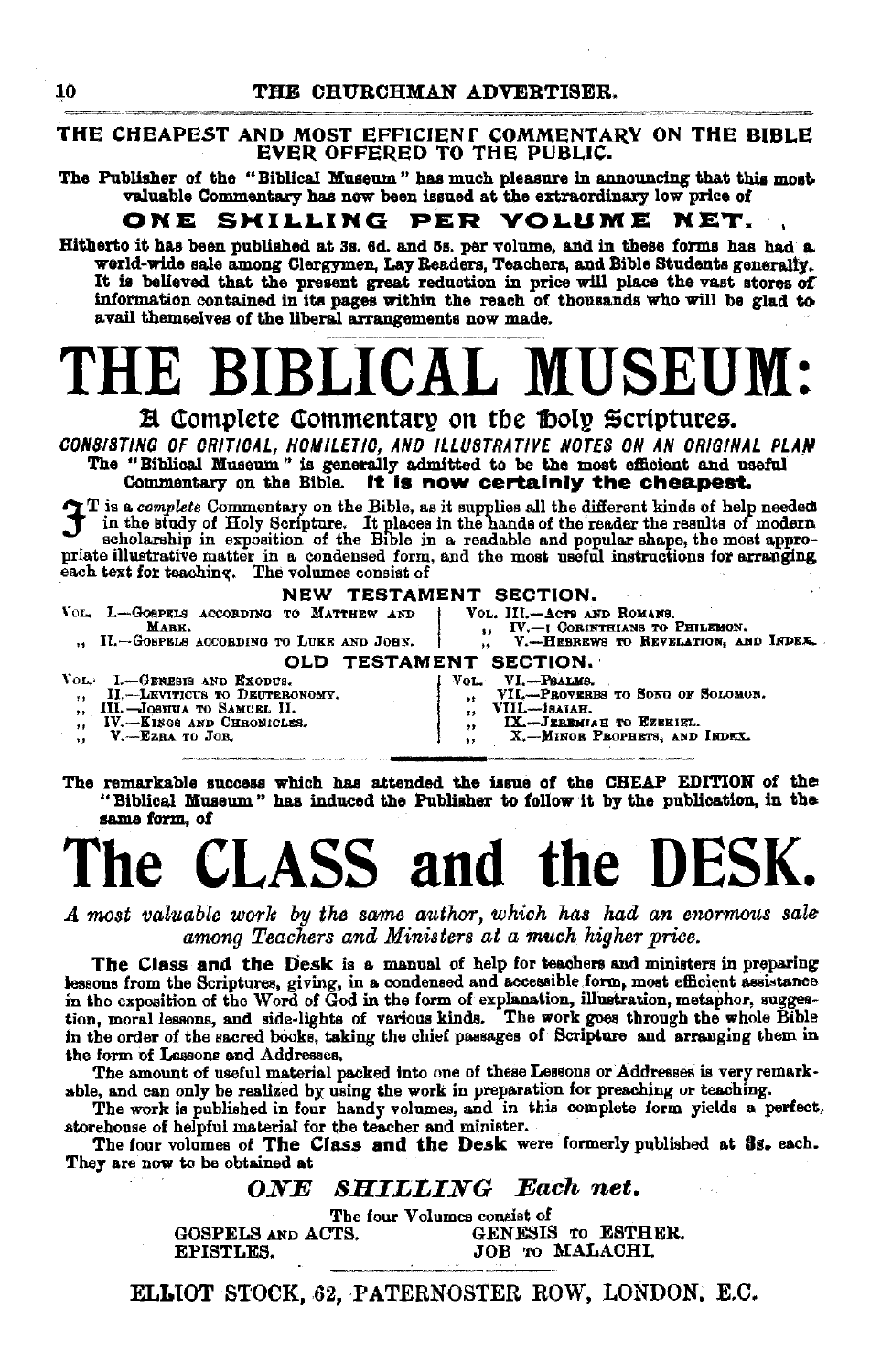#### THE CHEAPEST AND MOST EFFICIENT COMMENTARY ON THE BIBLE EVER OFFERED TO THE PUBLIC.

The Publisher of the "Biblical Museum" has much pleasure in announcing that this most valuable Commentary has now been issued at the extraordinary low price of

#### ONE SMILLING PER VOLUME NET.

Hitherto it has been published at 3s. 6d. and 5s. per volume, and in these forms has had a world-wide sale among Clergymen, Lay Readers, Teachers, and Bible Students generally. It is believed that the present great reduction in price will place the vast stores of information contained in its pages within the reach of thousands who will be glad to avail themselves of the liberal arrangements now made.

# BIBLICAL MUSEUM:

**A Complete Commentary on the Doly Scriptures.** 

CONSISTING OF CRITICAL, HOMILETIC, AND ILLUSTRATIVE NOTES ON AN ORIGINAL PLAN The "Biblical Museum" is generally admitted to be the most efficient and useful Commentary on the Bible. It is now certainly the cheapest.

 $\gamma$  T is a complete Commentary on the Bible, as it supplies all the different kinds of help needed in the study of Holy Scripture. It places in the hands of the reader the results of modern scholarship in exposition of the Bible in a readable and popular shape, the most appropriate illustrative matter in a condensed form, and the most useful instructions for arranging each text for teaching. The volumes consist of

#### **NEW TESTAMENT SECTION.**

VOL. I.-GOSPELS ACCORDING TO MATTHEW AND VOL. III.-ACTS AND ROMANS. -I CORINTHIANS TO PHILEMON. MARY.  $IV.$ II.-GOSPELS ACCORDING TO LUKE AND JOHN. V.-HEBREWS TO REVELATION, AND INDEX.  $\ddot{\phantom{a}}$ OLD TESTAMENT SECTION. VI.-PRALMS.<br>VII.-PROVERES TO SONG OF SOLOMON. **VOL:** I.-GENESIS AND EXODUS. Vol. II.-LEVITICUS TO DEUTERONOMY.  $\ddot{\phantom{a}}$  $\ddot{\phantom{a}}$ III.-JOSHUA TO SAMUEL II.<br>IV.--EINGS AND CHRONICLES. VIII.-isaiah.  $\ddot{\phantom{a}}$  $\overline{1}$  $\mathbf{I} \mathbf{X}$ JERBMIAH TO EZEKIEL.  $\ddot{\phantom{a}}$  $\ddot{\phantom{1}}$ 

V.-EZRA TO JOR.  $\ddotsc$ 

X. MINOR PROPHETS, AND INDEX.

The remarkable success which has attended the issue of the CHEAP EDITION of the "Biblical Museum" has induced the Publisher to follow it by the publication, in the same form, of

## ASS and the DE

A most valuable work by the same author, which has had an enormous sale among Teachers and Ministers at a much higher price.

The Class and the Desk is a manual of help for teachers and ministers in preparing lessons from the Scriptures, giving, in a condensed and accessible form, most efficient assistance in the exposition of the Word of God in the form of explanation, illustration, metaphor, suggestion, moral lessons, and side-lights of various kinds. The work goes through the whole Bible in the order of the sacred books, taking the chief passages of Scripture and arranging them in the form of Lessons and Addresses.

The amount of useful material packed into one of these Lessons or Addresses is very remarkable, and can only be realized by using the work in preparation for preaching or teaching.

The work is published in four handy volumes, and in this complete form yields a perfect, atorehouse of helpful material for the teacher and minister.

The four volumes of The Class and the Desk were formerly published at 8s. each. They are now to be obtained at

#### **SHILLING** Each net. ONE

The four Volumes consist of GENESIS TO ESTHER. GOSPELS AND ACTS. EPISTLES. JOB TO MALACHI.

ELLIOT STOCK, 62, PATERNOSTER ROW, LONDON, E.C.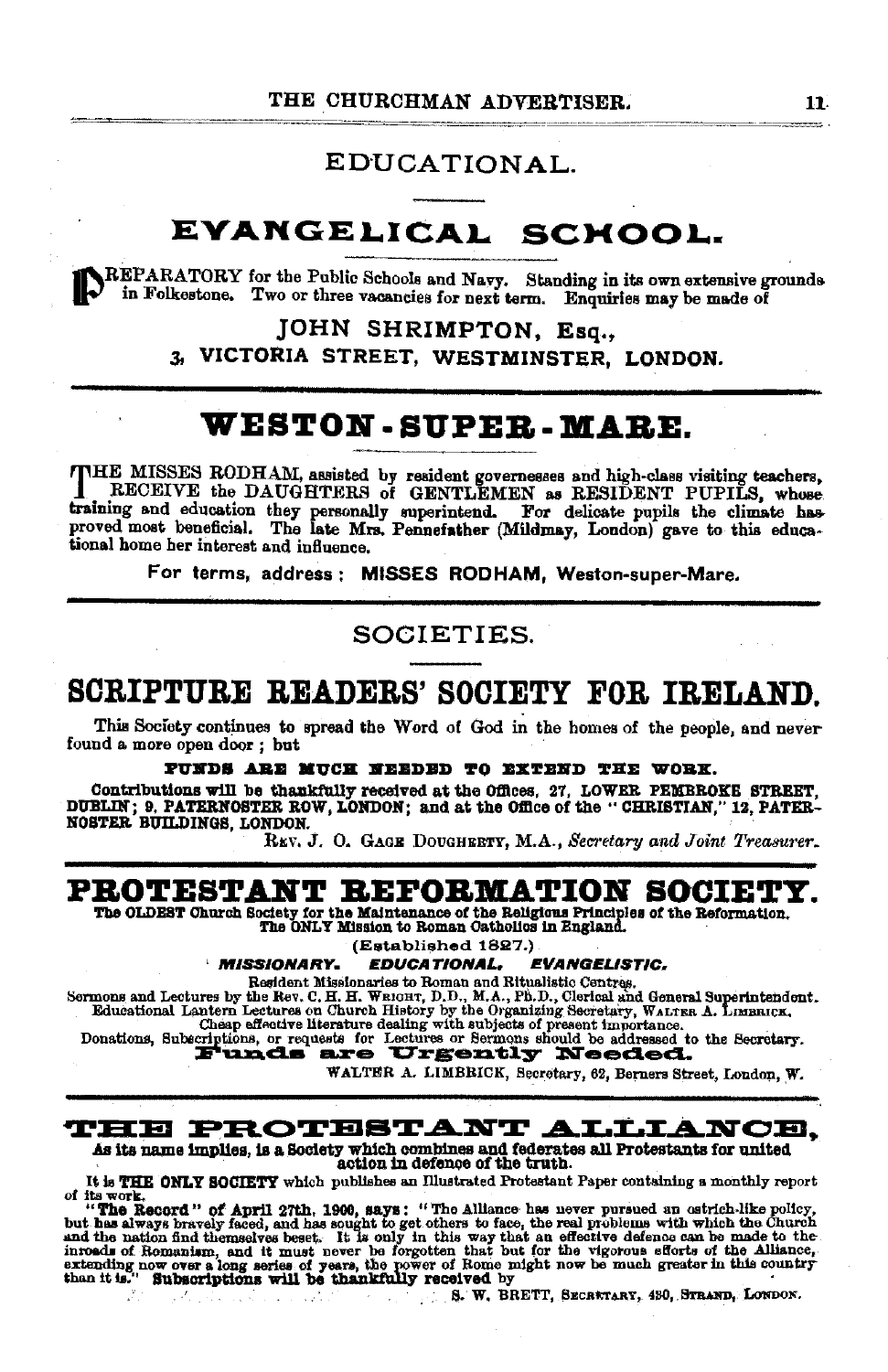#### EDUCATIONAL.

### EVANGELICAL SCHOOL.

REPARATORY for the Public Schools and Navy. Standing in its own extensive grounds in Folkestone. Two or three vacancies for next term. Enquiries may be made of

> JOHN SHRIMPTON, Esq., VICTORIA STREET, WESTMINSTER, LONDON. 3.

### WESTON-SUPER-MARE.

THE MISSES RODHAM, assisted by resident governesses and high-class visiting teachers, RECEIVE the DAUGHTERS of GENTLEMEN as RESIDENT PUPILS, whose training and education they personally superintend. For delicate pupils the climate has proved most beneficial. The late Mrs. Pennefather (Mildmay, London) gave to this educational home her interest and influence.

For terms, address: MISSES RODHAM, Weston-super-Mare.

SOCIETIES.

### SCRIPTURE READERS' SOCIETY FOR IRELAND.

This Society continues to spread the Word of God in the homes of the people, and never found a more open door; but

PUNDS ARE MUCH NEEDED TO EXTEND THE WORK.

Contributions will be thankfully received at the Offices, 27, LOWER PEMBROKE STREET, DUBLIN; 9. PATERNOSTER ROW, LONDON; and at the Office of the "CHRISTIAN," 12, PATER-NOSTER BUILDINGS, LONDON.

REV. J. O. GAGE DOUGHERTY, M.A., Secretary and Joint Treasurer.

### PROTESTANT REFORMATION SOCIETY.

The OLDEST Church Society for the Maintenance of the Religious Principles of the Reformation. The ONLY Mission to Roman Catholics in England.

(Established 1827.)

**MISSIONARY.** EDUCATIONAL, **EVANGELISTIC.** 

Explicit Nissionaries to Roman and Ritualistic Centres.<br>
Sermons and Lectures by the Rev. C. H. H. WEIGHT, D.D., M.A., Ph.D., Clerical and General Superintendent.<br>
Educational Leatures on Church History by the Organizing S

WALTER A. LIMBRICK, Secretary, 62, Berners Street, London, W.

#### **THE PROTESTANT ALLIANCE.**

As its name implies, is a Society which combines and federates all Protestants for united action in defence of the truth.

It is THE ONLY SOCIETY which publishes an Illustrated Protestant Paper containing a monthly report of its work.

of His work.<br>
"The Record" of April 27th, 1900, says: "The Alliance has never pursued an estrich-like policy,<br>
but has always bravely faced, and has sought to get others to face, the real problems with which the Church<br>
an

S. W. BRETT, SECRATARY, 480, STRAND, LONDON.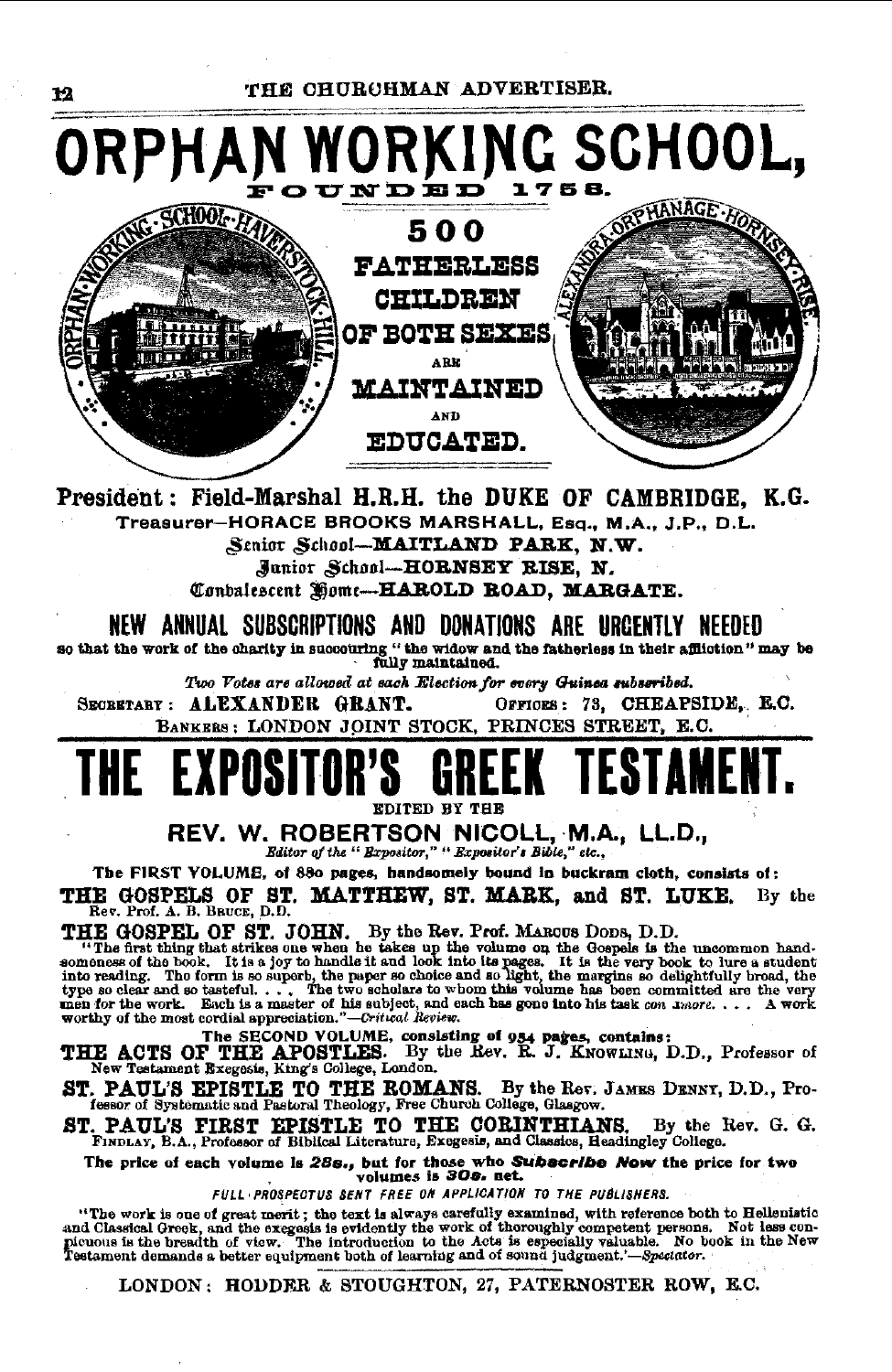

President: Field-Marshal H.R.H. the DUKE OF CAMBRIDGE, K.G. Treasurer-HORACE BROOKS MARSHALL, Esq., M.A., J.P., D.L.

Senior School-MAITLAND PARK, N.W. Junior School-HORNSEY RISE, N.

Conbalescent Home-HAROLD ROAD, MARGATE.

NEW ANNUAL SUBSCRIPTIONS AND DONATIONS ARE URGENTLY NEEDED

so that the work of the charity in succouring "the widow and the fatherless in their affliction" may be fully maintained.

Two Votes are allowed at each Election for every Guinea subseribed.

SECRETARY: ALEXANDER GRANT. OFFICES: 73. CHEAPSIDE, E.C. BANKERS: LONDON JOINT STOCK, PRINCES STREET, E.C.

### THF EXPO FSTAMFI

EDITED BY THE

REV. W. ROBERTSON NICOLL, M.A., LL.D.,

Editor of the " Expositor," " Expositor's Bible," etc..

The FIRST VOLUME, of 880 pages, handsomely bound in buckram cloth, consists of: THE GOSPELS OF ST. MATTHEW, ST. MARK, and ST. LUKE.<br>Rev. Prof. A. B. BRUCE, D.D. By the

THE GOSPEL OF ST. JOHN. By the Rev. Prof. MAROUS DODS, D.D.<br>"The GOSPEL OF ST. JOHN. By the Rev. Prof. MAROUS DODS, D.D.<br>"The first thing that strikes one when he takes up the volume on the Gospels is the uncommon hard-<br>so

THE ACTS OF THE APOSTLES. By the Rev. R. J. KNOWLING, D.D., Professor of New Testament Excgosis, King's College, London.

ST. PAUL'S EPISTLE TO THE ROMANS. By the Rev. JAMES DENNY, D.D., Professor of Systematic and Pastoral Theology, Free Church College, Glasgow.

ST. PAUL'S FIRST EPISTLE TO THE CORINTHIANS. By the I FINDLAY, B.A., Professor of Biblical Literature, Excgesis, and Classics, Headingley Collego. By the Rev. G. G.

The price of each volume is 28s., but for those who Subscribe Now the price for two<br>volumes is 30s. net.

FULL PROSPECTUS SENT FREE ON APPLICATION TO THE PUBLISHERS.

"The work is one of great merit; the text is always carefully examined, with reference both to Hellenistic and Classical Greek, and the excgesis is evidently the work of theroughly competent persons. Not less con-<br>picuous

LONDON: HODDER & STOUGHTON, 27, PATERNOSTER ROW, E.C.

12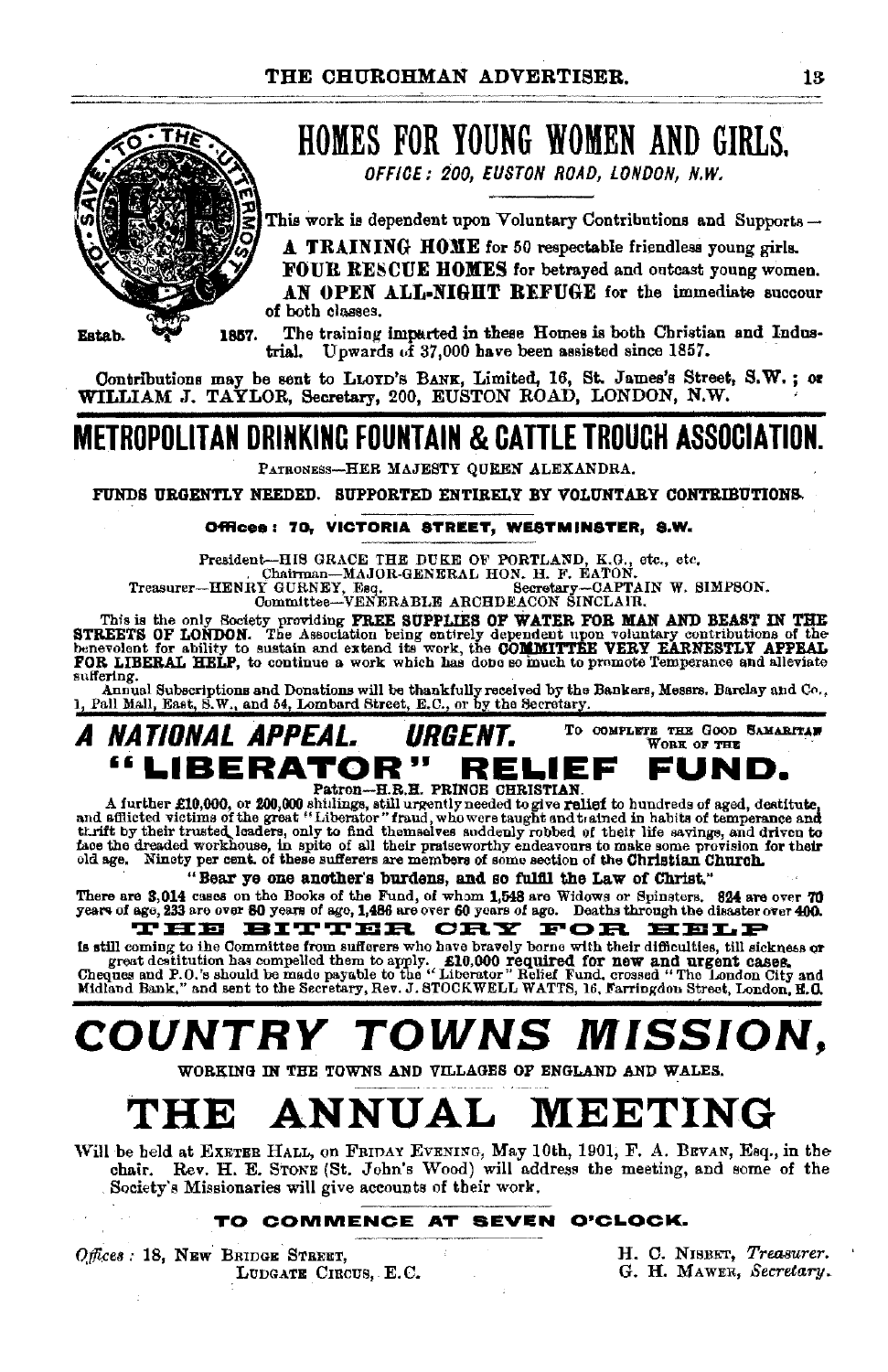

## HOMES FOR YOUNG WOMEN AND GIRLS.

OFFICE: 200, EUSTON ROAD, LONDON, N.W.

This work is dependent upon Voluntary Contributions and Supports $-$ 

A TRAINING HOME for 50 respectable friendless young girls.

FOUR RESCUE HOMES for betrayed and outcast young women. AN OPEN ALL-NIGHT REFUGE for the immediate succour of both classes.

1857. The training imparted in these Homes is both Christian and Indus-<br>trial. Unwards of 37.000 have been assisted since 1857. Upwards  $\vec{u}$  37,000 have been assisted since 1857.

Contributions may be sent to LLOYD's BANK, Limited, 16, St. James's Street, S.W.; or WILLIAM J. TAYLOR, Secretary, 200, EUSTON ROAD, LONDON, N.W.

## METROPOLITAN DRINKING FOUNTAIN & CATTLE TROUGH ASSOCIATION.

PATRONESs-HER MAJESTY QUEEN ALEXANDRA.

FUNDS URGENTLY NEEDED. SUPPORTED ENTIRELY BY VOLUNTARY CONTRIBUTIONS.

#### Offices: 70. VICTORIA STREET, WESTMINSTER, 8.W.

President---HIS GRACE THE DUKE OF PORTLAND, K.G., etc., etc., . Qhainman---MAJOR·GENERAL HON. H. F. EATON.<br>Chainman---MAJOR·GENERAL HON. H. F. EATON.<br>Committee--VENERABLE ARCHDEACON SINCLAIR.<br>Committee--VENERABLE ARCHDEACO

This is the only Society providing FREE SUPPLIES OF WATER FOR MAN AND BEAST IN THE STREETS OF LONDON. The Association being entirely dependent upon voluntary contributions of the benecked benecked that the control of the c suffering.

Annual Subscriptions and Donations will be thankfully received by the Bankers, Messrs. Barclay and Co., Pall Mall, East, S.W., and 54, Lombard Street, E.C., or by the Secretary.

#### A NATIONAL APPEAL. URGENT. To COMPLETE THE GOOD SAMARITAR WORK OF THE "LIBERATOR" RELIEF FUND.

Patron-H.R.H. PRINCE CHRISTIAN.<br>A further £10,000, or 200,000 shitlings, still urgently needed to give relief to hundreds of aged, destitute,<br>and afflicted victims of the great "Liberator" fraud, who were taught and t atne faee the dreaded workhouse, in spite of all their praiseworthy endeavours to make some provision for their old age. Ninety per cent. of these sufferers are members of some section of the Christian Churoh.

#### "Bear ye one another's burdens, and so fulfil the Law of Christ."

There are 3,014 cases on the Books of the Fund, of whom 1,548 are Widows or Spinsters. 824 are over 70<br>years of age, 233 are over 80 years of age, 1,486 are over 60 years of age. Deaths through the disaster over 400. THE BITTER CRY FOR HELP

is still coming to the Committee from sufferers who have bravely borne with their difficulties, till sickness or great destitution has compelled them to apply. E10,000 required for new and urgent cases.<br>Cheques and P.O.'s should be made payable to the "Liberator" Relief Fund, crossed "The London City and the face<br>Midland Bank," and s

## COUNTRY TOWNS MISSION,

WOBKING IN THE TOWNS AND VILLAGES OF ENGLAND AND WALES.

## THE ANNUAL MEETING

Will be held at ExETER HALL, on FRIDAY EVENING, May 10th, 1901, F. A. BEVAN, Esq., in the chair. Rev. H. E. STONE (St. John's Wood) will address the meeting, and some of the Society's Missionaries will give accounts of their work.

#### TO COMMENCE AT SEVEN O'CLOCK.

*0,tfi.ce8:* 18, NEw BRIDGE STREET, LUDGATE CIRCUS, E.C. H. C. NISBET, *Treasurer.* G. H. MAWER, *Secretary •*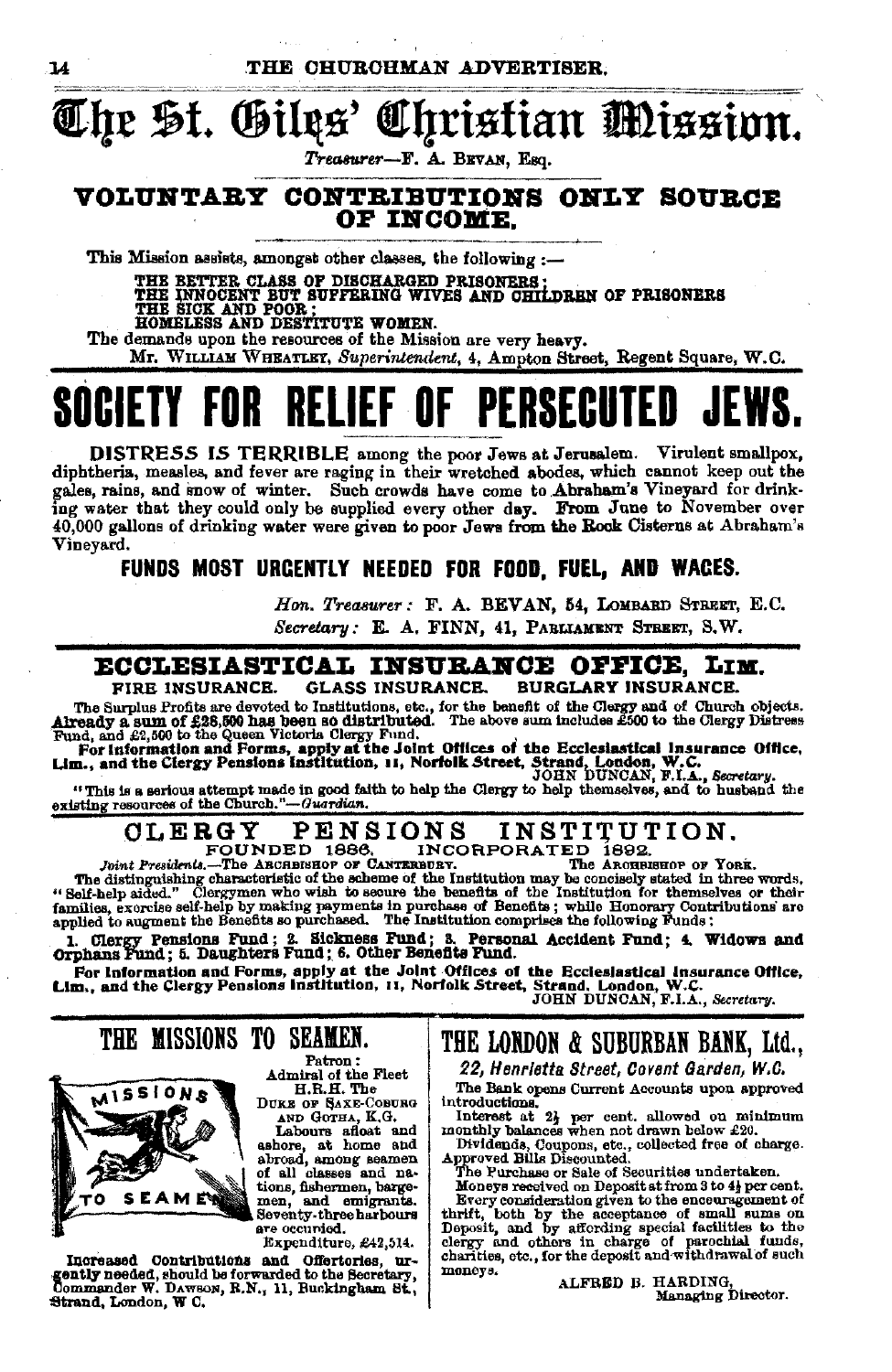## Che St. Giles' Christian Mission.

Treasurer-F. A. BEVAN, Esq.

#### VOLUNTARY CONTRIBUTIONS ONLY SOURCE OF INCOME.

This Mission assists, amongst other classes, the following :-

HOMELESS AND DESTITUTE WOMEN.

The demands upon the resources of the Mission are very heavy.

Mr. WILLIAM WHEATLEY, Superintendent, 4, Ampton Street, Regent Square, W.C.

### **RELIEF OF PERSECUTED JEWS FNR**

DISTRESS IS TERRIBLE among the poor Jews at Jerusalem. Virulent smallpox, diphtheria, measles, and fever are raging in their wretched abodes, which cannot keep out the gales, rains, and snow of winter. Such crowds have come to Abraham's Vineyard for drinking water that they could only be supplied every other day. From June to November over 40,000 gallons of drinking water were given to poor Jews from the Rock Cisterns at Abraham's Vineyard.

#### FUNDS MOST URGENTLY NEEDED FOR FOOD, FUEL, AND WACES.

Hon. Treasurer: F. A. BEVAN, 54, LOMBARD STREET, E.C. Secretary: E. A. FINN, 41, PARLIAMENT STREET, S.W.

#### ECCLESIASTICAL INSURANCE OFFICE, LIM.

**GLASS INSURANCE. BURGLARY INSURANCE.** FIRE INSURANCE.

The Surplus Profits are devoted to Institutions, etc., for the benefit of the Clergy and of Church objects.<br>Already a sum of £28,500 has been so distributed. The above sum includes £500 to the Clergy Distress<br>Fund, and £2,

"This is a serious attempt made in good faith to help the Clergy to help themselves, and to husband the existing resources of the Church."-Guardian.

#### **CLERGY** INSTITUTION. **PENSIONS** FOUNDED 1886. INCORPORATED 1892.

Joint Presidents.-The ARCHBISHOP OF CANTERBURY.

The ARCHBISHOP OF YORK.

The distinguishing characteristic of the scheme of the Institution may be concisely stated in three words,<br>"Self-help aided." Clergramen who wish to secure the benefits of the Institution for the<br>masker of the Scheme of th

appucations Pund : 2. Sickness Fund : 3. Personal Accident Fund : 4. Widows and Orphans Fund : 5. Daughters Fund : 6. Other Benefits Fund.

### THE MISSIONS TO SEAMEN.



Patron: Admiral of the Fleet H.R.H. The

DUKE OF SAXE-COBURG AND GOTHA, K.G.

Labours afloat and ashore, at home and abroad, among seamen of all classes and nations, fishermen, bargemen, and emigrants. are occuried.

Expenditure, £42,514.

Increased Contributions and Offertories, urgently needed, should be forwarded to the Secretary, Commander W. DAWSON, R.N., 11, Buckingham St., Strand, London, W C.

THE LONDON & SUBURBAN BANK, Ltd., 22, Henrietta Street, Covent Garden, W.C.

The Bank opens Current Accounts upon approved introductions.

moroducines.<br>
Interest at 2} per cent. allowed on minimum<br>
monthly balances when not drawn below £20.<br>
Dividing 6, Coupons, etc., collected free of charge.<br>
Approved Bills Discounted.<br>
The Purchase or Sale of Securities un

Moneys received on Deposit at from 3 to 4} per cent. Beery consideration given to the enceuragement of the Higher consideration given to the enceuragement of the thirt, both by the ecceptance of small sums on Deposit, and by affording special factilities to the enceuragement moneys.

ALFRED B. HARDING, Managing Director.

14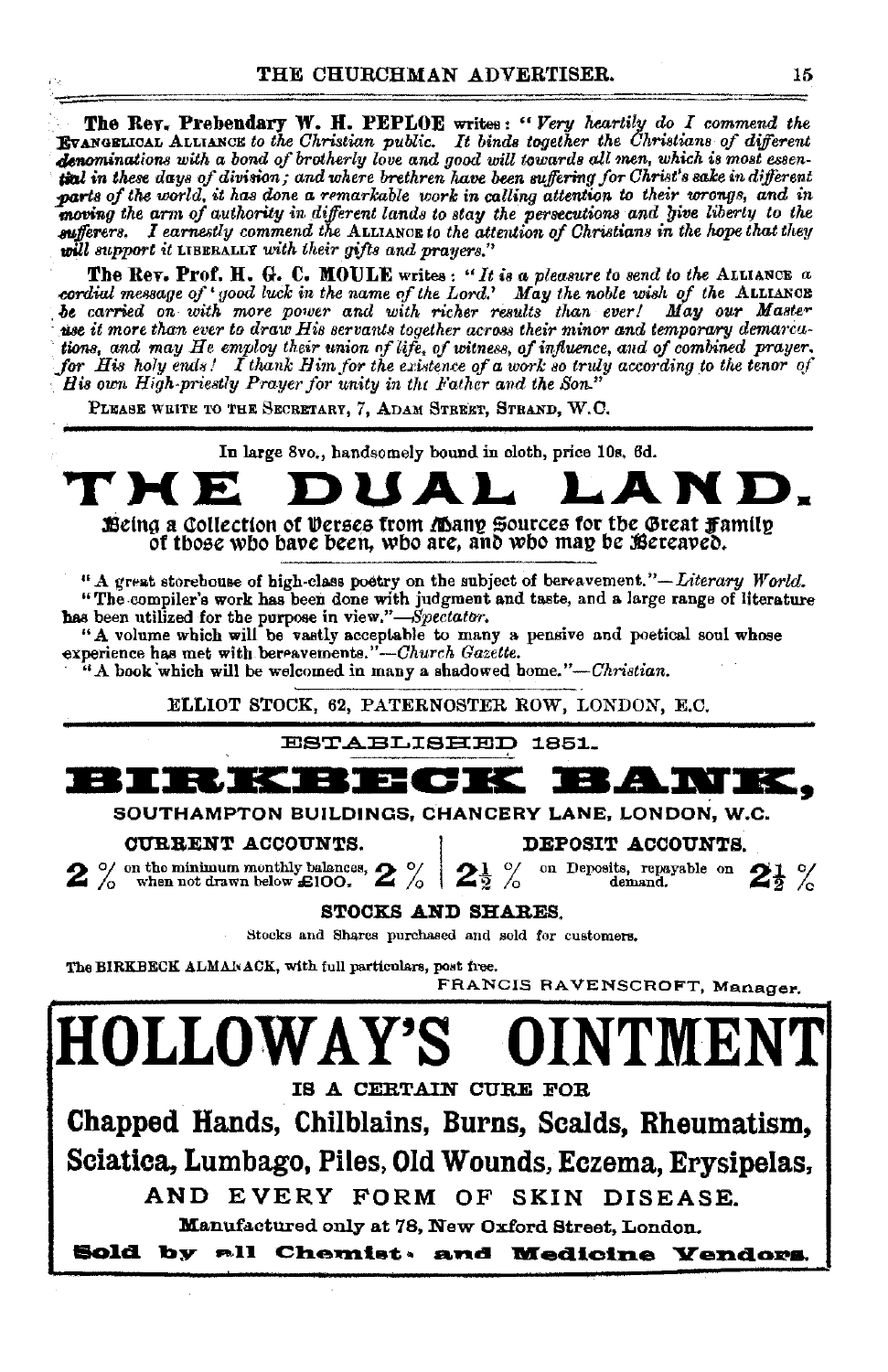**The Rev. Prebendary W. H. PEPLOE** writes: "Very heartily do I commend the **Byanoglioan** Alliance to the Christian public. It binds together the Christians of different denominations with a bond of brotherly love and good will towards all men, which is most essentinl in these days of division; and where brethren have been suffering for Christ's sake in different parts of the world, it has done a remarkable work in calling attention to their wrongs, and in moving the arm of authority in different lands to stay the persecutions and give liberty to the sufferers. I earnestly commend the ALLIANCE to the attention of Christians in the hope that they will support it LIBERALLY with their gifts and prayers."

The Rev. Prof. H. G. C. MOULE writes: "It is a pleasure to send to the ALLIANCE  $a$ cordial message of 'good luck in the name of the Lord.' May the noble wish of the ALLIANCE<br>be carried on with more power and with richer results than ever! May our Master use it more than ever to draw His servants together across their minor and temporary demarcations, and may He employ their union of life, of witness, of influence, and of combined prayer. for His holy ends! I thank Him for the existence of a work so truly according to the tenor of His own High-priestly Prayer for unity in the Father and the Son."

PLEASE WEITE TO THE SECRETARY, 7, ADAM STREET, STRAND, W.C.

In large 8vo., handsomely bound in cloth, price 10s, 6d.

# Being a Collection of Derses from *Many* Sources for the Great Family

of those who have been, who are, and who may be Bereaved.

" A great storehouse of high-class poetry on the subject of bereavement."—Literary World. "The compiler's work has been done with judgment and taste, and a large range of literature has been utilized for the purpose in view."-Spectator.

"A volume which will be vastly acceptable to many a pensive and poetical soul whose experience has met with bereavements."-Church Gazette.

 $44$  book which will be welcomed in many a shadowed home."—Christian.

ELLIOT STOCK, 62, PATERNOSTER ROW, LONDON, E.C.

**ESTABLISHED 1851.** 



SOUTHAMPTON BUILDINGS, CHANCERY LANE, LONDON, W.C.

CURRENT ACCOUNTS.

 $2\%$  on the minimum monthly balances,  $2\%$ 

DEPOSIT ACCOUNTS.

on Deposits, repayable on  $2<sup>1</sup>/<sub>2</sub>$  %  $\mid$  2  $\frac{9}{2}$ 

**STOCKS AND SHARES.** 

Stocks and Shares purchased and sold for customers.

The BIRKBECK ALMANACK, with full particulars, post free.

FRANCIS RAVENSCROFT, Manager.